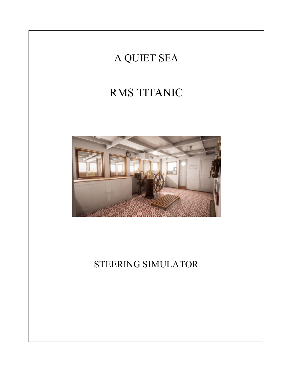